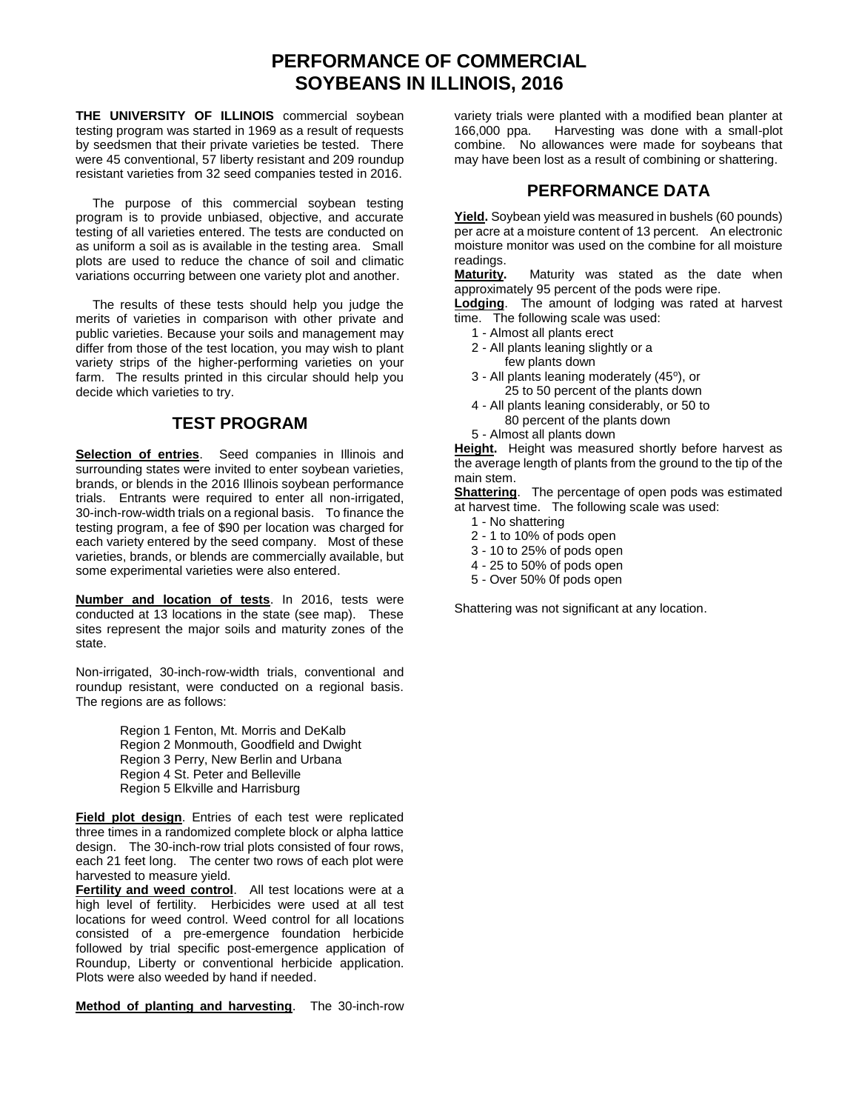## **PERFORMANCE OF COMMERCIAL SOYBEANS IN ILLINOIS, 2016**

**THE UNIVERSITY OF ILLINOIS** commercial soybean testing program was started in 1969 as a result of requests by seedsmen that their private varieties be tested. There were 45 conventional, 57 liberty resistant and 209 roundup resistant varieties from 32 seed companies tested in 2016.

The purpose of this commercial soybean testing program is to provide unbiased, objective, and accurate testing of all varieties entered. The tests are conducted on as uniform a soil as is available in the testing area. Small plots are used to reduce the chance of soil and climatic variations occurring between one variety plot and another.

The results of these tests should help you judge the merits of varieties in comparison with other private and public varieties. Because your soils and management may differ from those of the test location, you may wish to plant variety strips of the higher-performing varieties on your farm. The results printed in this circular should help you decide which varieties to try.

## **TEST PROGRAM**

**Selection of entries**. Seed companies in Illinois and surrounding states were invited to enter soybean varieties, brands, or blends in the 2016 Illinois soybean performance trials. Entrants were required to enter all non-irrigated, 30-inch-row-width trials on a regional basis. To finance the testing program, a fee of \$90 per location was charged for each variety entered by the seed company. Most of these varieties, brands, or blends are commercially available, but some experimental varieties were also entered.

**Number and location of tests**. In 2016, tests were conducted at 13 locations in the state (see map). These sites represent the major soils and maturity zones of the state.

Non-irrigated, 30-inch-row-width trials, conventional and roundup resistant, were conducted on a regional basis. The regions are as follows:

> Region 1 Fenton, Mt. Morris and DeKalb Region 2 Monmouth, Goodfield and Dwight Region 3 Perry, New Berlin and Urbana Region 4 St. Peter and Belleville Region 5 Elkville and Harrisburg

**Field plot design**. Entries of each test were replicated three times in a randomized complete block or alpha lattice design. The 30-inch-row trial plots consisted of four rows, each 21 feet long. The center two rows of each plot were harvested to measure yield.

**Fertility and weed control**. All test locations were at a high level of fertility. Herbicides were used at all test locations for weed control. Weed control for all locations consisted of a pre-emergence foundation herbicide followed by trial specific post-emergence application of Roundup, Liberty or conventional herbicide application. Plots were also weeded by hand if needed.

**Method of planting and harvesting**. The 30-inch-row

variety trials were planted with a modified bean planter at 166,000 ppa. Harvesting was done with a small-plot combine. No allowances were made for soybeans that may have been lost as a result of combining or shattering.

## **PERFORMANCE DATA**

**Yield.** Soybean yield was measured in bushels (60 pounds) per acre at a moisture content of 13 percent. An electronic moisture monitor was used on the combine for all moisture readings.<br>Maturity.

**Maturity.** Maturity was stated as the date when approximately 95 percent of the pods were ripe.

**Lodging**. The amount of lodging was rated at harvest time. The following scale was used:

- 1 Almost all plants erect
- 2 All plants leaning slightly or a few plants down
- 3 All plants leaning moderately (45°), or 25 to 50 percent of the plants down
- 4 All plants leaning considerably, or 50 to 80 percent of the plants down
- 5 Almost all plants down

**Height.** Height was measured shortly before harvest as the average length of plants from the ground to the tip of the main stem.

**Shattering**. The percentage of open pods was estimated at harvest time. The following scale was used:

- 1 No shattering
- 2 1 to 10% of pods open
- 3 10 to 25% of pods open
- 4 25 to 50% of pods open
- 5 Over 50% 0f pods open

Shattering was not significant at any location.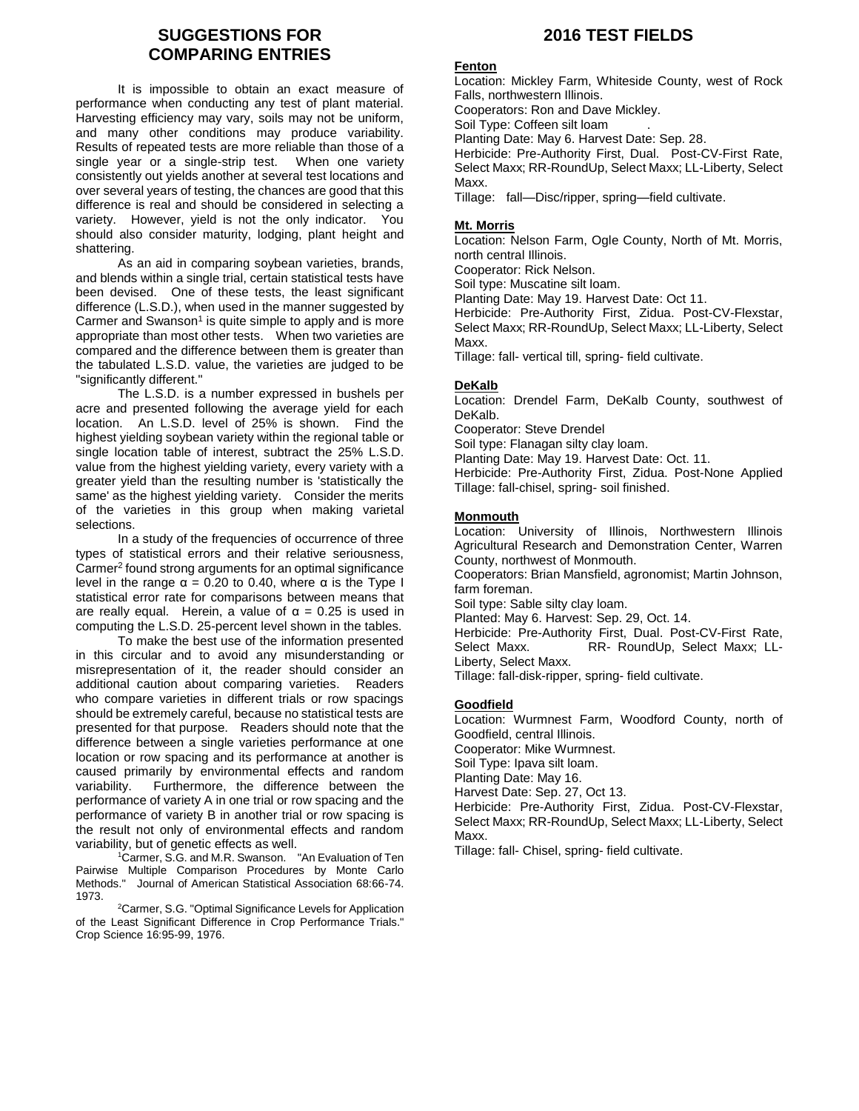### **SUGGESTIONS FOR COMPARING ENTRIES**

It is impossible to obtain an exact measure of performance when conducting any test of plant material. Harvesting efficiency may vary, soils may not be uniform, and many other conditions may produce variability. Results of repeated tests are more reliable than those of a single year or a single-strip test. When one variety consistently out yields another at several test locations and over several years of testing, the chances are good that this difference is real and should be considered in selecting a variety. However, yield is not the only indicator. You should also consider maturity, lodging, plant height and shattering.

As an aid in comparing soybean varieties, brands, and blends within a single trial, certain statistical tests have been devised. One of these tests, the least significant difference (L.S.D.), when used in the manner suggested by Carmer and Swanson<sup>1</sup> is quite simple to apply and is more appropriate than most other tests. When two varieties are compared and the difference between them is greater than the tabulated L.S.D. value, the varieties are judged to be "significantly different."

The L.S.D. is a number expressed in bushels per acre and presented following the average yield for each location. An L.S.D. level of 25% is shown. Find the highest yielding soybean variety within the regional table or single location table of interest, subtract the 25% L.S.D. value from the highest yielding variety, every variety with a greater yield than the resulting number is 'statistically the same' as the highest yielding variety. Consider the merits of the varieties in this group when making varietal selections.

In a study of the frequencies of occurrence of three types of statistical errors and their relative seriousness, Carmer<sup>2</sup> found strong arguments for an optimal significance level in the range  $\alpha$  = 0.20 to 0.40, where  $\alpha$  is the Type I statistical error rate for comparisons between means that are really equal. Herein, a value of  $\alpha = 0.25$  is used in computing the L.S.D. 25-percent level shown in the tables.

To make the best use of the information presented in this circular and to avoid any misunderstanding or misrepresentation of it, the reader should consider an additional caution about comparing varieties. Readers who compare varieties in different trials or row spacings should be extremely careful, because no statistical tests are presented for that purpose. Readers should note that the difference between a single varieties performance at one location or row spacing and its performance at another is caused primarily by environmental effects and random variability. Furthermore, the difference between the performance of variety A in one trial or row spacing and the performance of variety B in another trial or row spacing is the result not only of environmental effects and random variability, but of genetic effects as well.

<sup>1</sup>Carmer, S.G. and M.R. Swanson. "An Evaluation of Ten Pairwise Multiple Comparison Procedures by Monte Carlo Methods." Journal of American Statistical Association 68:66-74. 1973.

<sup>2</sup>Carmer, S.G. "Optimal Significance Levels for Application of the Least Significant Difference in Crop Performance Trials." Crop Science 16:95-99, 1976.

## **2016 TEST FIELDS**

#### **Fenton**

Location: Mickley Farm, Whiteside County, west of Rock Falls, northwestern Illinois.

Cooperators: Ron and Dave Mickley.

Soil Type: Coffeen silt loam

Planting Date: May 6. Harvest Date: Sep. 28.

Herbicide: Pre-Authority First, Dual. Post-CV-First Rate, Select Maxx; RR-RoundUp, Select Maxx; LL-Liberty, Select Maxx.

Tillage: fall—Disc/ripper, spring—field cultivate.

#### **Mt. Morris**

Location: Nelson Farm, Ogle County, North of Mt. Morris, north central Illinois.

Cooperator: Rick Nelson.

Soil type: Muscatine silt loam.

Planting Date: May 19. Harvest Date: Oct 11.

Herbicide: Pre-Authority First, Zidua. Post-CV-Flexstar, Select Maxx; RR-RoundUp, Select Maxx; LL-Liberty, Select Maxx.

Tillage: fall- vertical till, spring- field cultivate.

#### **DeKalb**

Location: Drendel Farm, DeKalb County, southwest of DeKalb.

Cooperator: Steve Drendel

Soil type: Flanagan silty clay loam.

Planting Date: May 19. Harvest Date: Oct. 11.

Herbicide: Pre-Authority First, Zidua. Post-None Applied Tillage: fall-chisel, spring- soil finished.

#### **Monmouth**

Location: University of Illinois, Northwestern Illinois Agricultural Research and Demonstration Center, Warren County, northwest of Monmouth.

Cooperators: Brian Mansfield, agronomist; Martin Johnson, farm foreman.

Soil type: Sable silty clay loam.

Planted: May 6. Harvest: Sep. 29, Oct. 14.

Herbicide: Pre-Authority First, Dual. Post-CV-First Rate, Select Maxx. RR- RoundUp, Select Maxx; LL-Liberty, Select Maxx.

Tillage: fall-disk-ripper, spring- field cultivate.

#### **Goodfield**

Location: Wurmnest Farm, Woodford County, north of Goodfield, central Illinois. Cooperator: Mike Wurmnest. Soil Type: Ipava silt loam. Planting Date: May 16. Harvest Date: Sep. 27, Oct 13. Herbicide: Pre-Authority First, Zidua. Post-CV-Flexstar, Select Maxx; RR-RoundUp, Select Maxx; LL-Liberty, Select Maxx.

Tillage: fall- Chisel, spring- field cultivate.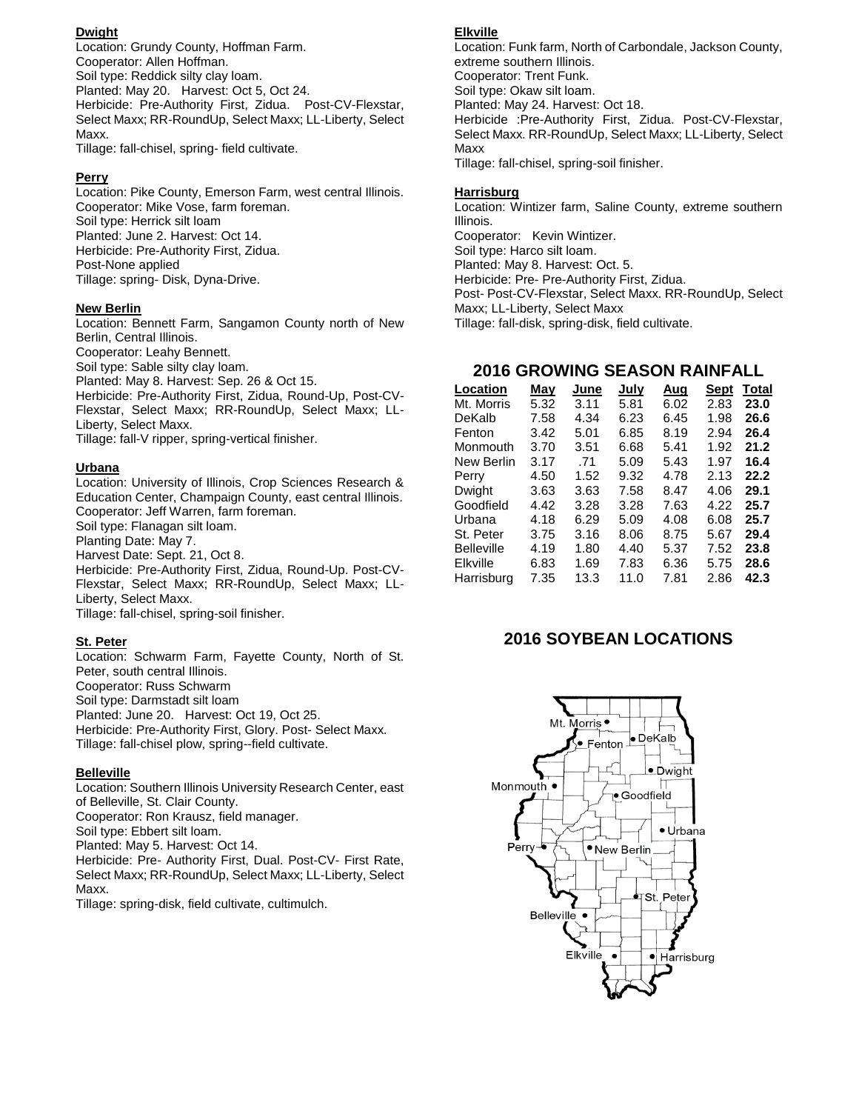#### **Dwight**

Location: Grundy County, Hoffman Farm. Cooperator: Allen Hoffman. Soil type: Reddick silty clay loam. Planted: May 20. Harvest: Oct 5, Oct 24. Herbicide: Pre-Authority First, Zidua. Post-CV-Flexstar, Select Maxx; RR-RoundUp, Select Maxx; LL-Liberty, Select Maxx.

Tillage: fall-chisel, spring- field cultivate.

#### **Perry**

Location: Pike County, Emerson Farm, west central Illinois. Cooperator: Mike Vose, farm foreman. Soil type: Herrick silt loam Planted: June 2. Harvest: Oct 14. Herbicide: Pre-Authority First, Zidua. Post-None applied Tillage: spring- Disk, Dyna-Drive.

#### **New Berlin**

Location: Bennett Farm, Sangamon County north of New Berlin, Central Illinois. Cooperator: Leahy Bennett. Soil type: Sable silty clay loam. Planted: May 8. Harvest: Sep. 26 & Oct 15. Herbicide: Pre-Authority First, Zidua, Round-Up, Post-CV-Flexstar, Select Maxx; RR-RoundUp, Select Maxx; LL-Liberty, Select Maxx.

Tillage: fall-V ripper, spring-vertical finisher.

#### **Urbana**

Location: University of Illinois, Crop Sciences Research & Education Center, Champaign County, east central Illinois. Cooperator: Jeff Warren, farm foreman. Soil type: Flanagan silt loam. Planting Date: May 7.

Harvest Date: Sept. 21, Oct 8. Herbicide: Pre-Authority First, Zidua, Round-Up. Post-CV-Flexstar, Select Maxx; RR-RoundUp, Select Maxx; LL-Liberty, Select Maxx. Tillage: fall-chisel, spring-soil finisher.

#### **St. Peter**

Location: Schwarm Farm, Fayette County, North of St. Peter, south central Illinois. Cooperator: Russ Schwarm Soil type: Darmstadt silt loam Planted: June 20. Harvest: Oct 19, Oct 25. Herbicide: Pre-Authority First, Glory. Post- Select Maxx. Tillage: fall-chisel plow, spring--field cultivate.

#### **Belleville**

Location: Southern Illinois University Research Center, east of Belleville, St. Clair County. Cooperator: Ron Krausz, field manager. Soil type: Ebbert silt loam. Planted: May 5. Harvest: Oct 14. Herbicide: Pre- Authority First, Dual. Post-CV- First Rate, Select Maxx; RR-RoundUp, Select Maxx; LL-Liberty, Select Maxx.

Tillage: spring-disk, field cultivate, cultimulch.

#### **Elkville**

Location: Funk farm, North of Carbondale, Jackson County, extreme southern Illinois. Cooperator: Trent Funk. Soil type: Okaw silt loam. Planted: May 24. Harvest: Oct 18. Herbicide :Pre-Authority First, Zidua. Post-CV-Flexstar, Select Maxx. RR-RoundUp, Select Maxx; LL-Liberty, Select Maxx Tillage: fall-chisel, spring-soil finisher.

#### **Harrisburg**

Location: Wintizer farm, Saline County, extreme southern Illinois. Cooperator: Kevin Wintizer. Soil type: Harco silt loam. Planted: May 8. Harvest: Oct. 5. Herbicide: Pre- Pre-Authority First, Zidua. Post- Post-CV-Flexstar, Select Maxx. RR-RoundUp, Select Maxx; LL-Liberty, Select Maxx Tillage: fall-disk, spring-disk, field cultivate.

### **2016 GROWING SEASON RAINFALL**

| Location          | May  | June | July | Aug  | Sept | Total |
|-------------------|------|------|------|------|------|-------|
| Mt. Morris        | 5.32 | 3.11 | 5.81 | 6.02 | 2.83 | 23.0  |
| DeKalb            | 7.58 | 4.34 | 6.23 | 6.45 | 1.98 | 26.6  |
| Fenton            | 3.42 | 5.01 | 6.85 | 8.19 | 2.94 | 26.4  |
| Monmouth          | 3.70 | 3.51 | 6.68 | 5.41 | 1.92 | 21.2  |
| New Berlin        | 3.17 | .71  | 5.09 | 5.43 | 1.97 | 16.4  |
| Perry             | 4.50 | 1.52 | 9.32 | 4.78 | 2.13 | 22.2  |
| Dwight            | 3.63 | 3.63 | 7.58 | 8.47 | 4.06 | 29.1  |
| Goodfield         | 4.42 | 3.28 | 3.28 | 7.63 | 4.22 | 25.7  |
| Urbana            | 4.18 | 6.29 | 5.09 | 4.08 | 6.08 | 25.7  |
| St. Peter         | 3.75 | 3.16 | 8.06 | 8.75 | 5.67 | 29.4  |
| <b>Belleville</b> | 4.19 | 1.80 | 4.40 | 5.37 | 7.52 | 23.8  |
| Elkville          | 6.83 | 1.69 | 7.83 | 6.36 | 5.75 | 28.6  |
| Harrisburg        | 7.35 | 13.3 | 11.0 | 7.81 | 2.86 | 42.3  |

### **2016 SOYBEAN LOCATIONS**